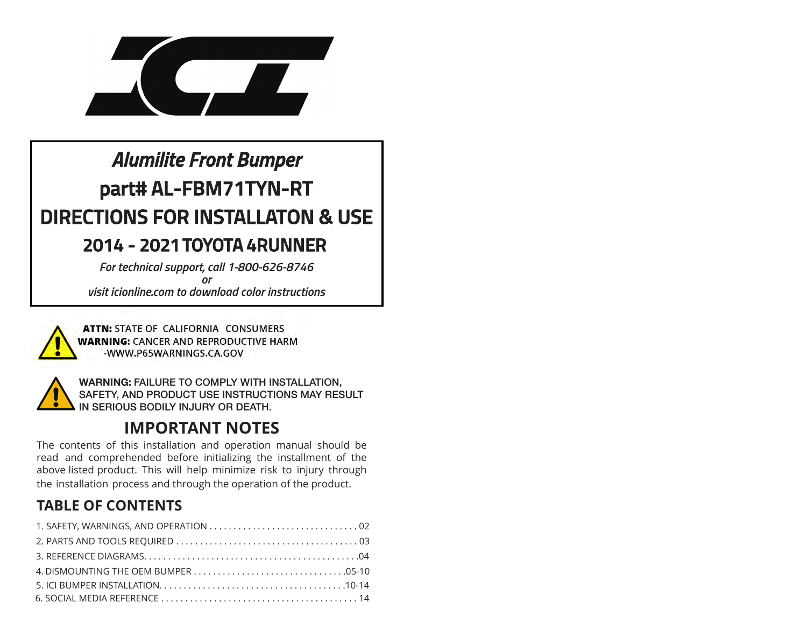

# *Alumilite Front Bumper***part# AL-FBM71TYN-RTDIRECTIONS FOR INSTALLATON & USE**

### **2014 - 2021 TOYOTA 4RUNNER**

 *For technical support, call 1-800-626-8746orvisit icionline.com to download color instructions*



ATTN: STATE OF CALIFORNIA CONSUMERS **WARNING: CANCER AND REPRODUCTIVE HARM** -WWW.P65WARNINGS.CA.GOV



**WARNING: FAILURE TO COMPLY WITH INSTALLATION, SAFETY, AND PRODUCT USE INSTRUCTIONS MAY RESULT IN SERIOUS BODILY INJURY OR DEATH.**

### **IMPORTANT NOTES**

 The contents of this installation and operation manual should be read and comprehended before initializing the installment of the above listed product. This will help minimize risk to injury through the installation process and through the operation of the product.

#### **TABLE OF CONTENTS**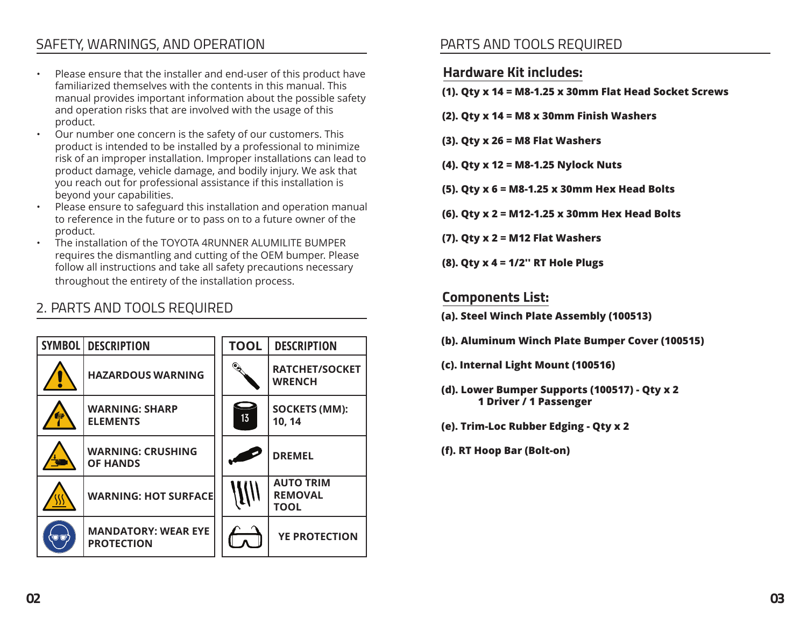#### SAFETY, WARNINGS, AND OPERATION

- • Please ensure that the installer and end-user of this product havefamiliarized themselves with the contents in this manual. This manual provides important information about the possible safetyand operation risks that are involved with the usage of thisproduct.
- Our number one concern is the safety of our customers. This• product is intended to be installed by a professional to minimize risk of an improper installation. Improper installations can lead toproduct damage, vehicle damage, and bodily injury. We ask thatyou reach out for professional assistance if this installation isbeyond your capabilities.
- Please ensure to safeguard this installation and operation manual •to reference in the future or to pass on to a future owner of theproduct.
- The installation of the TOYOTA 4RUNNER ALUMILITE BUMPER• requires the dismantling and cutting of the OEM bumper. Please follow all instructions and take all safety precautions necessarythroughout the entirety of the installation process.

#### 2. PARTS AND TOOLS REQUIRED



#### PARTS AND TOOLS REQUIRED

#### **Hardware Kit includes:**

- **(1). Qty x 14 <sup>=</sup>M8-1.25 x 30mm Flat Head Socket Screws**
- **(2). Qty x 14 = M8 x 30mm Finish Washers**
- **(3). Qty x 26 <sup>=</sup>M8 Flat Washers**
- **(4). Qty x 12 <sup>=</sup>M8-1.25 Nylock Nuts**
- **(5). Qty x 6 <sup>=</sup>M8-1.25 x 30mm Hex Head Bolts**
- **(6). Qty x 2 = M12-1.25 x 30mm Hex Head Bolts**
- **(7). Qty x 2 = M12 Flat Washers**
- **(8). Qty x 4 = 1/2'' RT Hole Plugs**

#### **Components List:**

- **(a). Steel Winch Plate Assembly (100513)**
- **(b). Aluminum Winch Plate Bumper Cover (100515)**
- **(c). Internal Light Mount (100516)**
- **(d). Lower Bumper Supports (100517) Qty x 21 Driver / 1 Passenger**
- **(e). Trim-Loc Rubber Edging Qty x 2**
- **(f). RT Hoop Bar (Bolt-on)**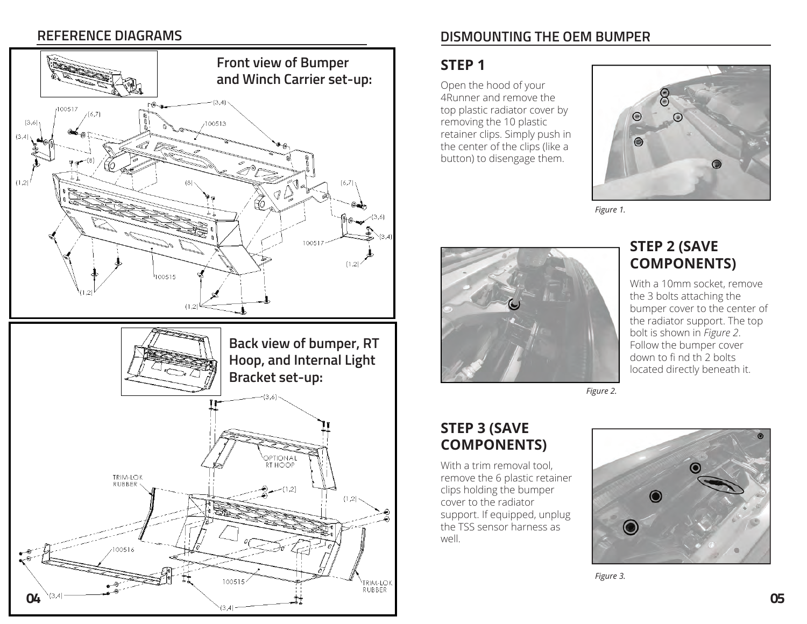#### **REFERENCE DIAGRAMS**



#### **DISMOUNTING THE OEM BUMPER**

#### **STEP 1**

Open the hood of your 4Runner and remove the top plastic radiator cover by removing the 10 plastic retainer clips. Simply push in the center of the clips (like a button) to disengage them.



*Figure 1.*



#### **STEP 2 (SAVE COMPONENTS)**

With a 10mm socket, remove the 3 bolts attaching the bumper cover to the center of the radiator support. The top bolt is shown in *Figure <sup>2</sup>*. Follow the bumper cover down to fi nd th 2 bolts located directly beneath it.

*Figure 2.*

#### **STEP 3 (SAVE COMPONENTS)**

With a trim removal tool. remove the 6 plastic retainer clips holding the bumper cover to the radiator support. If equipped, unplug the TSS sensor harness as well.



*Figure 3.*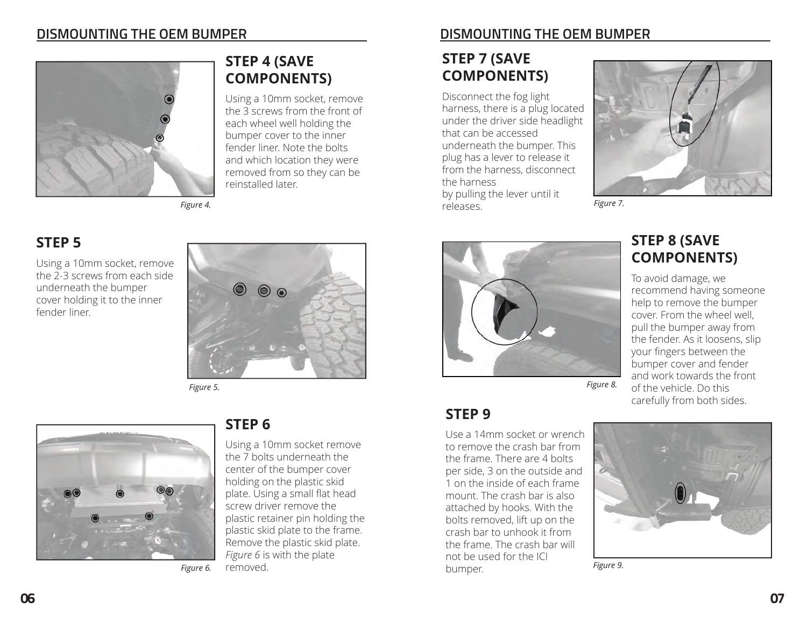#### **DISMOUNTING THE OEM BUMPER**



#### *Figure 4.*

#### **STEP 5**

 Using a 10mm socket, remove the 2-3 screws from each side underneath the bumper cover holding it to the inner fender liner.



**STEP 4 (SAVE COMPONENTS)**

reinstalled later.

Using a 10mm socket, remove the 3 screws from the front of each wheel well holding the bumper cover to the inner fender liner. Note the bolts and which location they were removed from so they can be

*Figure 5.*



*Figure 6.*

#### **STEP 6**

Using a 10mm socket remove the 7 bolts underneath the center of the bumper cover holding on the plastic skid plate. Using a small flat head screw driver remove the plastic retainer pin holding the plastic skid plate to the frame. Remove the plastic skid plate. *Figure 6* is with the plate removed.

#### **DISMOUNTING THE OEM BUMPER**

#### **STEP 7 (SAVE COMPONENTS)**

Disconnect the fog light harness, there is a plug located under the driver side headlight that can be accessed underneath the bumper. This plug has a lever to release it from the harness, disconnect the harness by pulling the lever until it releases.



*Figure 7.*



Use a 14mm socket or wrench to remove the crash bar from the frame. There are 4 bolts per side, 3 on the outside and 1 on the inside of each frame mount. The crash bar is also attached by hooks. With the bolts removed, lift up on the crash bar to unhook it from the frame. The crash bar will not be used for the ICI

**STEP 9** 

#### **STEP 8 (SAVE COMPONENTS)**

To avoid damage, we recommend having someone help to remove the bumper cover. From the wheel well, pull the bumper away from the fender. As it loosens, slip your fingers between the bumper cover and fender and work towards the front of the vehicle. Do this carefully from both sides.



bumper. *Figure 9.*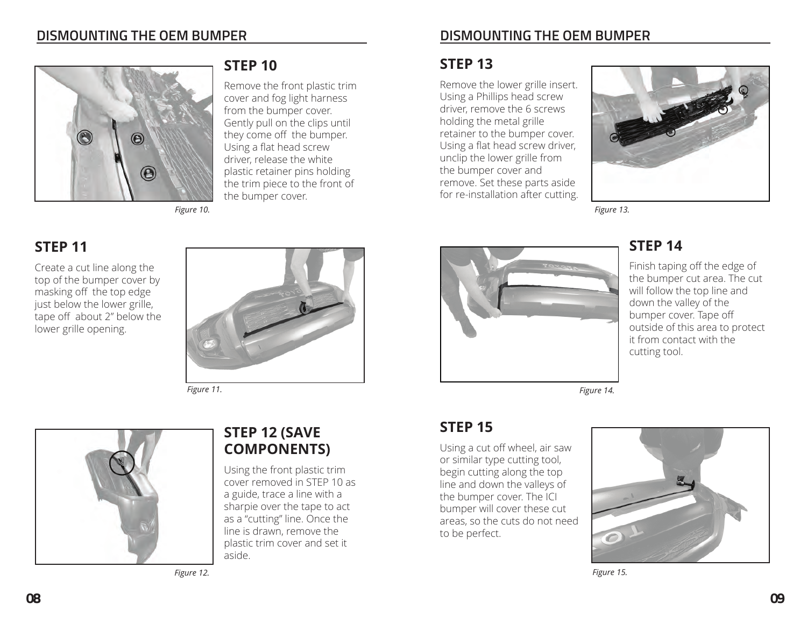

*Figure 10.*

#### **STEP 11**

Create a cut line along the top of the bumper cover by masking off the top edge just below the lower grille, tape off about 2" below the lower grille opening.



**STEP 12 (SAVE COMPONENTS)**

Using the front plastic trim cover removed in STEP 10 as a guide, trace a line with a sharpie over the tape to act as a "cutting" line. Once the line is drawn, remove the plastic trim cover and set it

the bumper cover.

**STEP 10**

 Remove the front plastic trim cover and fog light harness from the bumper cover. Gently pull on the clips until they come off the bumper. Using a flat head screw driver, release the white plastic retainer pins holding the trim piece to the front of

*Figure 11.*



*Figure 12.*

aside.

#### **DISMOUNTING THE OEM BUMPER**

#### **STEP 13**

Remove the lower grille insert. Using a Phillips head screw driver, remove the 6 screws holding the metal grille retainer to the bumper cover. Using a flat head screw driver, unclip the lower grille from the bumper cover and remove. Set these parts aside for re-installation after cutting.



*Figure 13.*



#### **STEP 14**

 Finish taping off the edge of the bumper cut area. The cut will follow the top line and down the valley of the bumper cover. Tape off outside of this area to protect it from contact with the cutting tool.

*Figure 14.*

#### **STEP 15**

Using a cut off wheel, air saw or similar type cutting tool, begin cutting along the top line and down the valleys of the bumper cover. The ICI bumper will cover these cut areas, so the cuts do not need to be perfect.



*Figure 15.*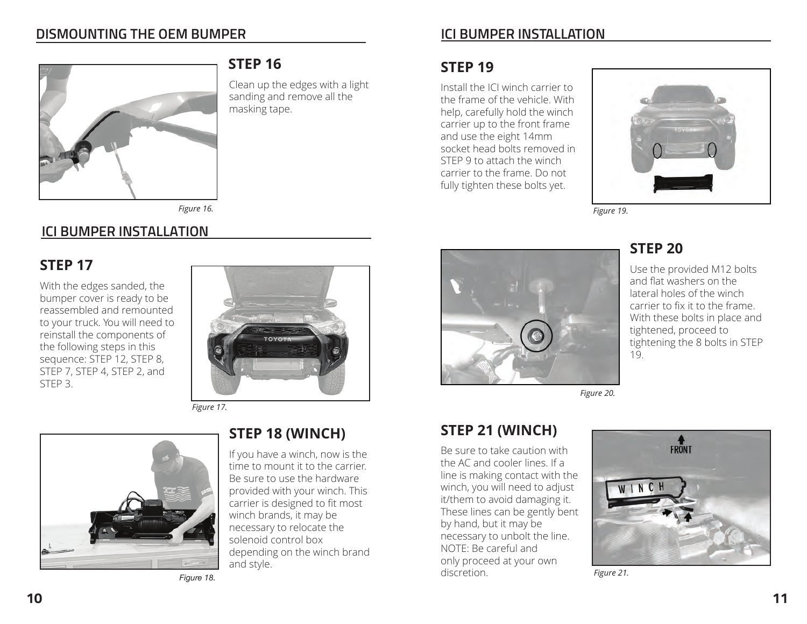#### **DISMOUNTING THE OEM BUMPER**



#### **STEP 16**

Clean up the edges with a light sanding and remove all the masking tape.

*Figure 16.*

#### **ICI BUMPER INSTALLATION**

#### **STEP 17**

With the edges sanded, the bumper cover is ready to be reassembled and remounted to your truck. You will need to reinstall the components of the following steps in this sequence: STEP 12, STEP 8, STEP 7, STEP 4, STEP 2, and STEP 3.



*Figure 17.*



#### **STEP 18 (WINCH)**

If you have a winch, now is the time to mount it to the carrier. Be sure to use the hardware provided with your winch. This carrier is designed to fit most winch brands, it may be necessary to relocate the solenoid control box depending on the winch brand and style.

*Figure 18.*

#### **ICI BUMPER INSTALLATION**

#### **STEP 19**

 Install the ICI winch carrier to the frame of the vehicle. With help, carefully hold the winch carrier up to the front frame and use the eight 14mm socket head bolts removed in STEP 9 to attach the winch carrier to the frame. Do not fully tighten these bolts yet.



**STEP 20**

19.

*Figure 19.*



*Figure 20.*

#### **STEP 21 (WINCH)**

Be sure to take caution with the AC and cooler lines. If a line is making contact with the winch, you will need to adjust it/them to avoid damaging it. These lines can be gently bent by hand, but it may be necessary to unbolt the line. NOTE: Be careful and only proceed at your own discretion.



Use the provided M12 bolts and flat washers on the lateral holes of the winch carrier to fix it to the frame. With these bolts in place and

tightening the 8 bolts in STEP

tightened, proceed to

*Figure 21.*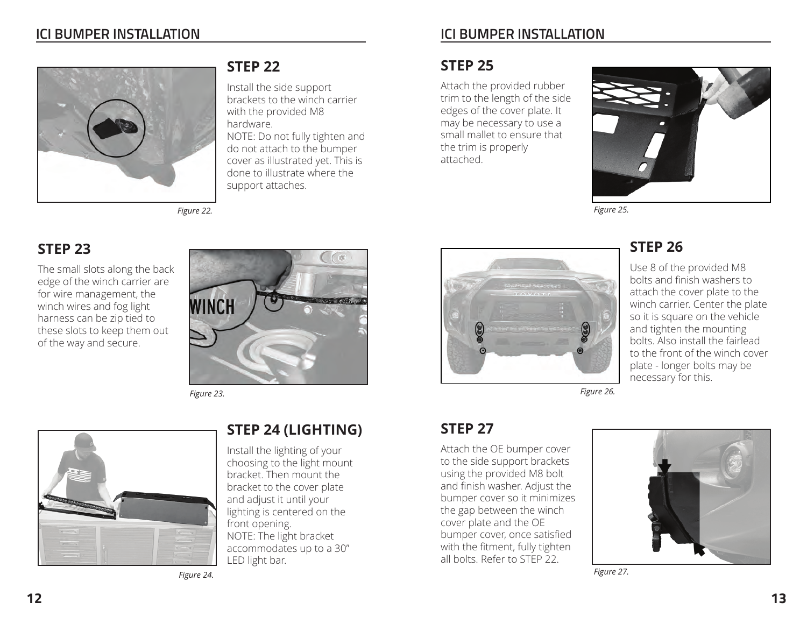#### **ICI BUMPER INSTALLATION**



*Figure 22.*



**STEP 22**

hardware.

 Install the side support brackets to the winch carrier

 NOTE: Do not fully tighten and do not attach to the bumper cover as illustrated yet. This is done to illustrate where the

with the provided M8

support attaches.

*Figure 23.*



#### **STEP 24 (LIGHTING)**

Install the lighting of your choosing to the light mount bracket. Then mount the bracket to the cover plate and adjust it until your lighting is centered on the front opening. NOTE: The light bracket accommodates up to a 30"

*Figure 24.*

#### **ICI BUMPER INSTALLATION**

#### **STEP 25**

 Attach the provided rubber trim to the length of the side edges of the cover plate. It may be necessary to use a small mallet to ensure that the trim is properly attached.



*Figure 25.*



#### **STEP 26**

 Use 8 of the provided M8 bolts and finish washers to attach the cover plate to the winch carrier. Center the plate so it is square on the vehicle and tighten the mounting bolts. Also install the fairlead to the front of the winch cover plate - longer bolts may be necessary for this.

*Figure 26.*

#### **STEP 27**

Attach the OE bumper cover to the side support brackets using the provided M8 bolt and finish washer. Adjust the bumper cover so it minimizes the gap between the winch cover plate and the OE bumper cover, once satisfied with the fitment, fully tighten all bolts. Refer to STEP 22.



*Figure 27.*